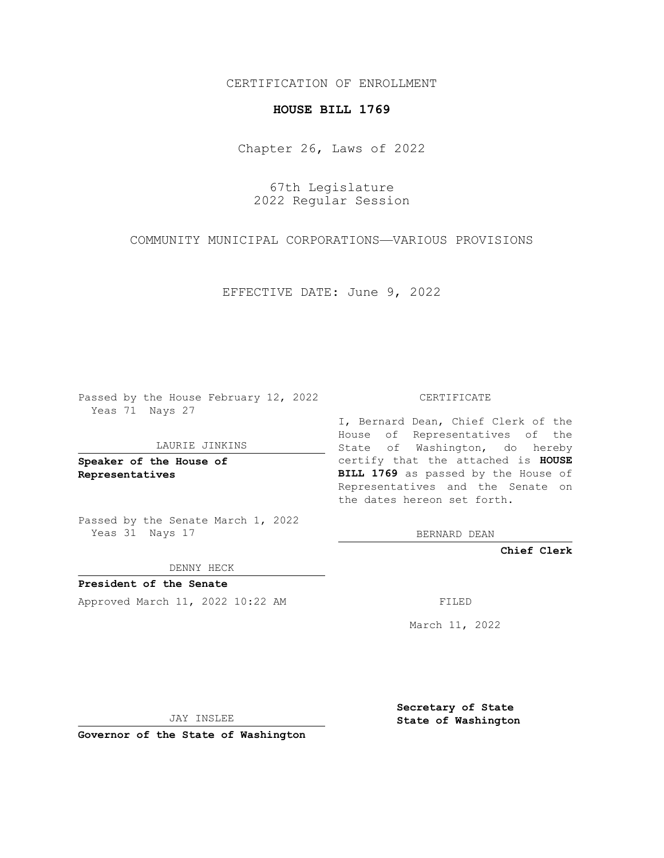CERTIFICATION OF ENROLLMENT

## **HOUSE BILL 1769**

Chapter 26, Laws of 2022

67th Legislature 2022 Regular Session

COMMUNITY MUNICIPAL CORPORATIONS—VARIOUS PROVISIONS

EFFECTIVE DATE: June 9, 2022

Passed by the House February 12, 2022 Yeas 71 Nays 27

LAURIE JINKINS

**Speaker of the House of Representatives**

Passed by the Senate March 1, 2022 Yeas 31 Nays 17

DENNY HECK

**President of the Senate** Approved March 11, 2022 10:22 AM FILED

CERTIFICATE

I, Bernard Dean, Chief Clerk of the House of Representatives of the State of Washington, do hereby certify that the attached is **HOUSE BILL 1769** as passed by the House of Representatives and the Senate on the dates hereon set forth.

BERNARD DEAN

**Chief Clerk**

March 11, 2022

JAY INSLEE

**Governor of the State of Washington**

**Secretary of State State of Washington**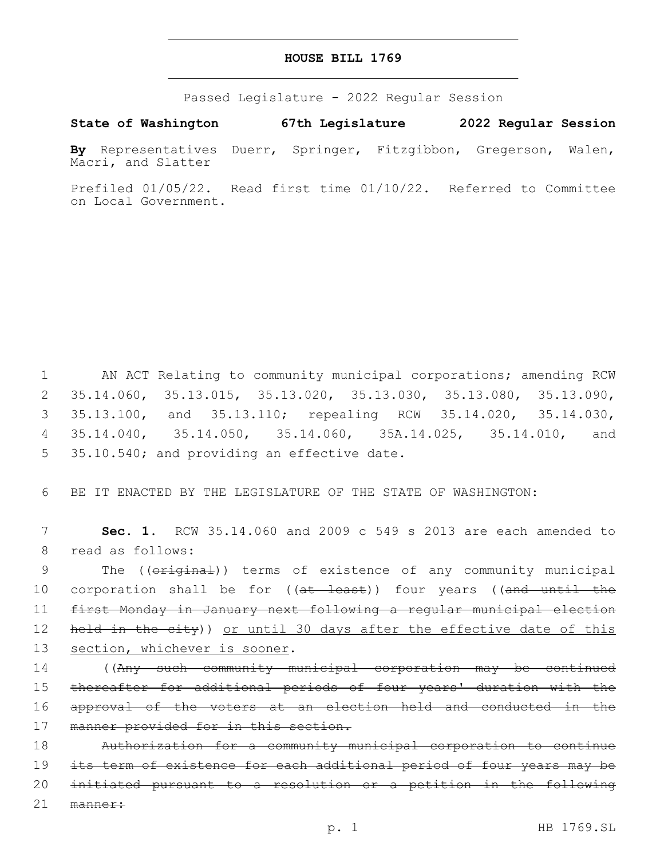## **HOUSE BILL 1769**

Passed Legislature - 2022 Regular Session

**State of Washington 67th Legislature 2022 Regular Session**

**By** Representatives Duerr, Springer, Fitzgibbon, Gregerson, Walen, Macri, and Slatter

Prefiled 01/05/22. Read first time 01/10/22. Referred to Committee on Local Government.

 AN ACT Relating to community municipal corporations; amending RCW 35.14.060, 35.13.015, 35.13.020, 35.13.030, 35.13.080, 35.13.090, 35.13.100, and 35.13.110; repealing RCW 35.14.020, 35.14.030, 35.14.040, 35.14.050, 35.14.060, 35A.14.025, 35.14.010, and 5 35.10.540; and providing an effective date.

6 BE IT ENACTED BY THE LEGISLATURE OF THE STATE OF WASHINGTON:

7 **Sec. 1.** RCW 35.14.060 and 2009 c 549 s 2013 are each amended to 8 read as follows:

9 The (( $\sigma$ riginal)) terms of existence of any community municipal 10 corporation shall be for ((at least)) four years ((and until the 11 first Monday in January next following a regular municipal election 12 held in the city)) or until 30 days after the effective date of this 13 section, whichever is sooner.

14 ((Any such community municipal corporation may be continued 15 thereafter for additional periods of four years' duration with the 16 approval of the voters at an election held and conducted in the 17 manner provided for in this section.

 Authorization for a community municipal corporation to continue its term of existence for each additional period of four years may be initiated pursuant to a resolution or a petition in the following 21 manner: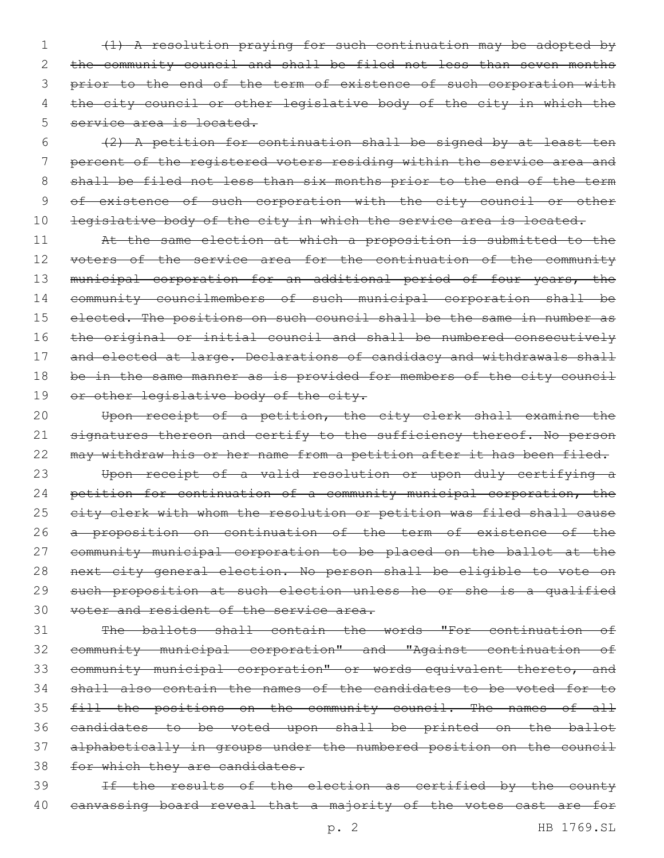1 (1) A resolution praying for such continuation may be adopted by 2 the community council and shall be filed not less than seven months 3 prior to the end of the term of existence of such corporation with 4 the city council or other legislative body of the city in which the 5 service area is located.

 $6$  (2) A petition for continuation shall be signed by at least ten 7 percent of the registered voters residing within the service area and 8 shall be filed not less than six months prior to the end of the term 9 of existence of such corporation with the city council or other 10 legislative body of the city in which the service area is located.

11 At the same election at which a proposition is submitted to the 12 voters of the service area for the continuation of the community 13 municipal corporation for an additional period of four years, the 14 community councilmembers of such municipal corporation shall be 15 elected. The positions on such council shall be the same in number as 16 the original or initial council and shall be numbered consecutively 17 and elected at large. Declarations of candidacy and withdrawals shall 18 be in the same manner as is provided for members of the city council 19 or other legislative body of the city.

20 Upon receipt of a petition, the city clerk shall examine the 21 signatures thereon and certify to the sufficiency thereof. No person 22 may withdraw his or her name from a petition after it has been filed.

 Upon receipt of a valid resolution or upon duly certifying a 24 petition for continuation of a community municipal corporation, the 25 eity clerk with whom the resolution or petition was filed shall cause a proposition on continuation of the term of existence of the community municipal corporation to be placed on the ballot at the next city general election. No person shall be eligible to vote on such proposition at such election unless he or she is a qualified voter and resident of the service area.

 The ballots shall contain the words "For continuation of community municipal corporation" and "Against continuation of community municipal corporation" or words equivalent thereto, and shall also contain the names of the candidates to be voted for to fill the positions on the community council. The names of all candidates to be voted upon shall be printed on the ballot alphabetically in groups under the numbered position on the council 38 for which they are candidates.

39 If the results of the election as certified by the county 40 canvassing board reveal that a majority of the votes cast are for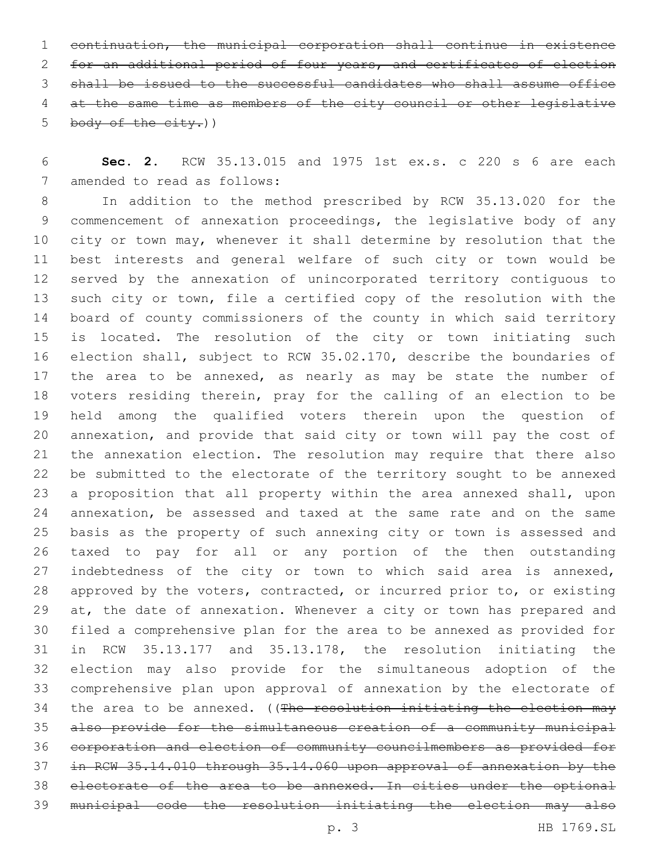continuation, the municipal corporation shall continue in existence for an additional period of four years, and certificates of election shall be issued to the successful candidates who shall assume office at the same time as members of the city council or other legislative 5 body of the city.)

 **Sec. 2.** RCW 35.13.015 and 1975 1st ex.s. c 220 s 6 are each 7 amended to read as follows:

 In addition to the method prescribed by RCW 35.13.020 for the commencement of annexation proceedings, the legislative body of any 10 city or town may, whenever it shall determine by resolution that the best interests and general welfare of such city or town would be served by the annexation of unincorporated territory contiguous to such city or town, file a certified copy of the resolution with the board of county commissioners of the county in which said territory is located. The resolution of the city or town initiating such election shall, subject to RCW 35.02.170, describe the boundaries of 17 the area to be annexed, as nearly as may be state the number of voters residing therein, pray for the calling of an election to be held among the qualified voters therein upon the question of annexation, and provide that said city or town will pay the cost of the annexation election. The resolution may require that there also be submitted to the electorate of the territory sought to be annexed a proposition that all property within the area annexed shall, upon annexation, be assessed and taxed at the same rate and on the same basis as the property of such annexing city or town is assessed and taxed to pay for all or any portion of the then outstanding indebtedness of the city or town to which said area is annexed, approved by the voters, contracted, or incurred prior to, or existing 29 at, the date of annexation. Whenever a city or town has prepared and filed a comprehensive plan for the area to be annexed as provided for in RCW 35.13.177 and 35.13.178, the resolution initiating the election may also provide for the simultaneous adoption of the comprehensive plan upon approval of annexation by the electorate of 34 the area to be annexed. ((The resolution initiating the election may also provide for the simultaneous creation of a community municipal corporation and election of community councilmembers as provided for in RCW 35.14.010 through 35.14.060 upon approval of annexation by the electorate of the area to be annexed. In cities under the optional municipal code the resolution initiating the election may also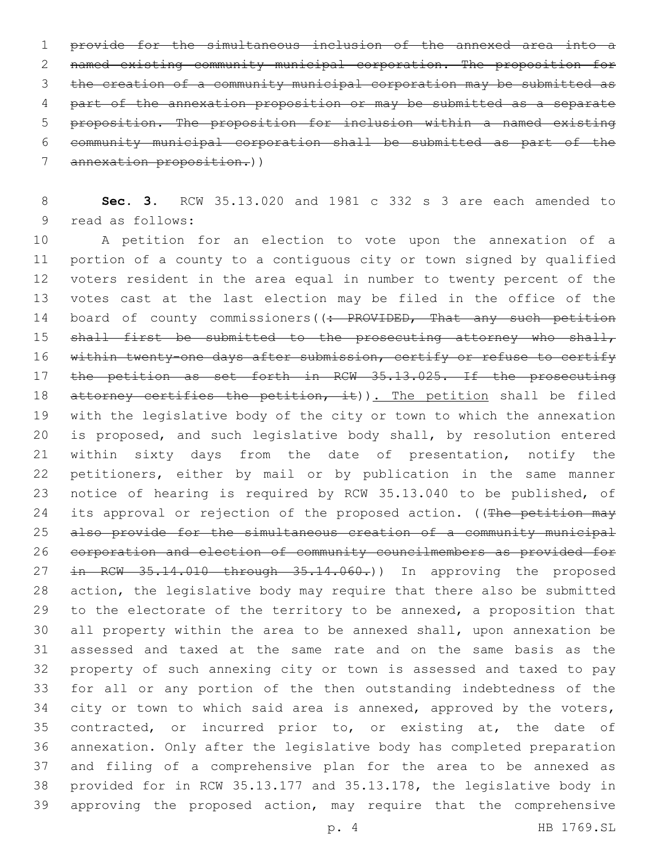provide for the simultaneous inclusion of the annexed area into a named existing community municipal corporation. The proposition for the creation of a community municipal corporation may be submitted as part of the annexation proposition or may be submitted as a separate proposition. The proposition for inclusion within a named existing community municipal corporation shall be submitted as part of the annexation proposition.))

 **Sec. 3.** RCW 35.13.020 and 1981 c 332 s 3 are each amended to 9 read as follows:

 A petition for an election to vote upon the annexation of a portion of a county to a contiguous city or town signed by qualified voters resident in the area equal in number to twenty percent of the votes cast at the last election may be filed in the office of the 14 board of county commissioners((: PROVIDED, That any such petition 15 shall first be submitted to the prosecuting attorney who shall, 16 within twenty-one days after submission, certify or refuse to certify 17 the petition as set forth in RCW 35.13.025. If the prosecuting 18 attorney certifies the petition, it)). The petition shall be filed with the legislative body of the city or town to which the annexation is proposed, and such legislative body shall, by resolution entered within sixty days from the date of presentation, notify the petitioners, either by mail or by publication in the same manner notice of hearing is required by RCW 35.13.040 to be published, of 24 its approval or rejection of the proposed action. ((The petition may also provide for the simultaneous creation of a community municipal corporation and election of community councilmembers as provided for 27 in RCW 35.14.010 through 35.14.060.)) In approving the proposed action, the legislative body may require that there also be submitted 29 to the electorate of the territory to be annexed, a proposition that all property within the area to be annexed shall, upon annexation be assessed and taxed at the same rate and on the same basis as the property of such annexing city or town is assessed and taxed to pay for all or any portion of the then outstanding indebtedness of the 34 city or town to which said area is annexed, approved by the voters, contracted, or incurred prior to, or existing at, the date of annexation. Only after the legislative body has completed preparation and filing of a comprehensive plan for the area to be annexed as provided for in RCW 35.13.177 and 35.13.178, the legislative body in approving the proposed action, may require that the comprehensive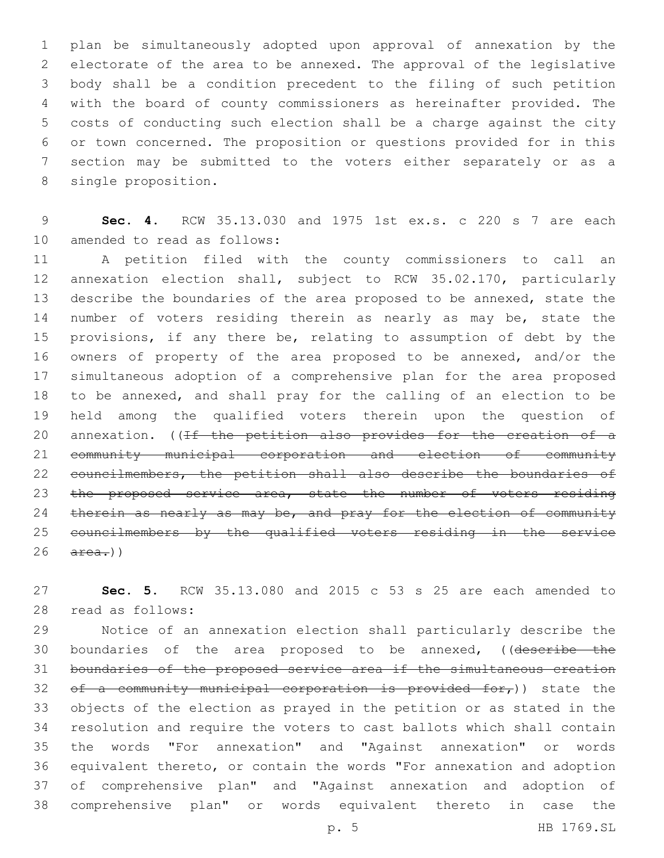plan be simultaneously adopted upon approval of annexation by the electorate of the area to be annexed. The approval of the legislative body shall be a condition precedent to the filing of such petition with the board of county commissioners as hereinafter provided. The costs of conducting such election shall be a charge against the city or town concerned. The proposition or questions provided for in this section may be submitted to the voters either separately or as a 8 single proposition.

 **Sec. 4.** RCW 35.13.030 and 1975 1st ex.s. c 220 s 7 are each 10 amended to read as follows:

 A petition filed with the county commissioners to call an annexation election shall, subject to RCW 35.02.170, particularly describe the boundaries of the area proposed to be annexed, state the 14 number of voters residing therein as nearly as may be, state the provisions, if any there be, relating to assumption of debt by the owners of property of the area proposed to be annexed, and/or the simultaneous adoption of a comprehensive plan for the area proposed to be annexed, and shall pray for the calling of an election to be held among the qualified voters therein upon the question of 20 annexation. ((If the petition also provides for the creation of a community municipal corporation and election of community 22 councilmembers, the petition shall also describe the boundaries of 23 the proposed service area, state the number of voters residing 24 therein as nearly as may be, and pray for the election of community councilmembers by the qualified voters residing in the service  $26 \quad \text{area.}$ )

 **Sec. 5.** RCW 35.13.080 and 2015 c 53 s 25 are each amended to read as follows:28

 Notice of an annexation election shall particularly describe the 30 boundaries of the area proposed to be annexed, ((describe the boundaries of the proposed service area if the simultaneous creation 32 of a community municipal corporation is provided for,)) state the objects of the election as prayed in the petition or as stated in the resolution and require the voters to cast ballots which shall contain the words "For annexation" and "Against annexation" or words equivalent thereto, or contain the words "For annexation and adoption of comprehensive plan" and "Against annexation and adoption of comprehensive plan" or words equivalent thereto in case the

p. 5 HB 1769.SL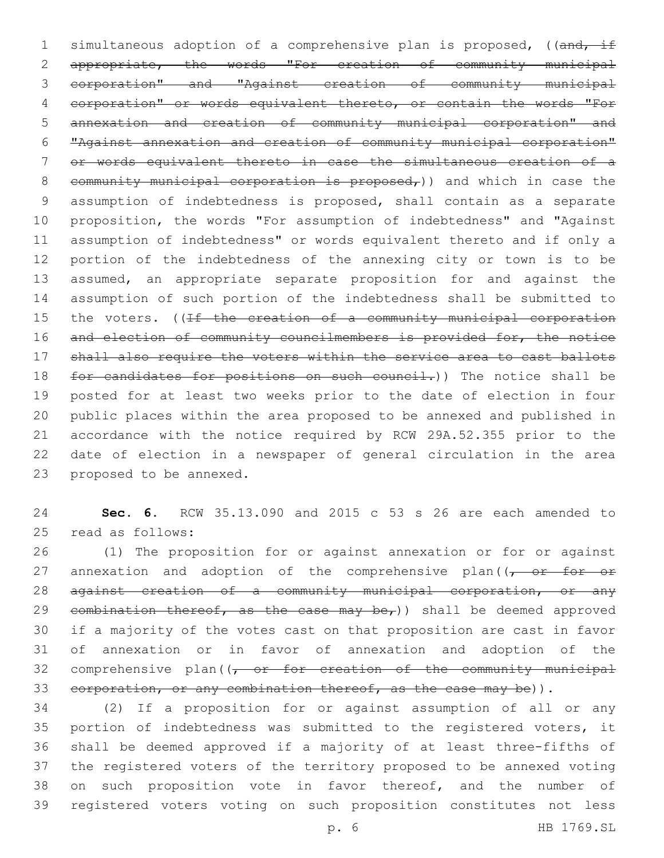1 simultaneous adoption of a comprehensive plan is proposed, ((and, if appropriate, the words "For creation of community municipal corporation" and "Against creation of community municipal corporation" or words equivalent thereto, or contain the words "For annexation and creation of community municipal corporation" and "Against annexation and creation of community municipal corporation" or words equivalent thereto in case the simultaneous creation of a 8 community municipal corporation is proposed<sub> $r$ </sub>)) and which in case the assumption of indebtedness is proposed, shall contain as a separate proposition, the words "For assumption of indebtedness" and "Against assumption of indebtedness" or words equivalent thereto and if only a portion of the indebtedness of the annexing city or town is to be assumed, an appropriate separate proposition for and against the assumption of such portion of the indebtedness shall be submitted to 15 the voters. ((If the creation of a community municipal corporation 16 and election of community councilmembers is provided for, the notice shall also require the voters within the service area to cast ballots 18 for candidates for positions on such council.)) The notice shall be posted for at least two weeks prior to the date of election in four public places within the area proposed to be annexed and published in accordance with the notice required by RCW 29A.52.355 prior to the date of election in a newspaper of general circulation in the area 23 proposed to be annexed.

 **Sec. 6.** RCW 35.13.090 and 2015 c 53 s 26 are each amended to 25 read as follows:

 (1) The proposition for or against annexation or for or against 27 annexation and adoption of the comprehensive plan((, or for or 28 against creation of a community municipal corporation, or any 29 combination thereof, as the case may be,)) shall be deemed approved if a majority of the votes cast on that proposition are cast in favor of annexation or in favor of annexation and adoption of the 32 comprehensive plan( $(-$  or for creation of the community municipal 33 corporation, or any combination thereof, as the case may be)).

 (2) If a proposition for or against assumption of all or any portion of indebtedness was submitted to the registered voters, it shall be deemed approved if a majority of at least three-fifths of the registered voters of the territory proposed to be annexed voting on such proposition vote in favor thereof, and the number of registered voters voting on such proposition constitutes not less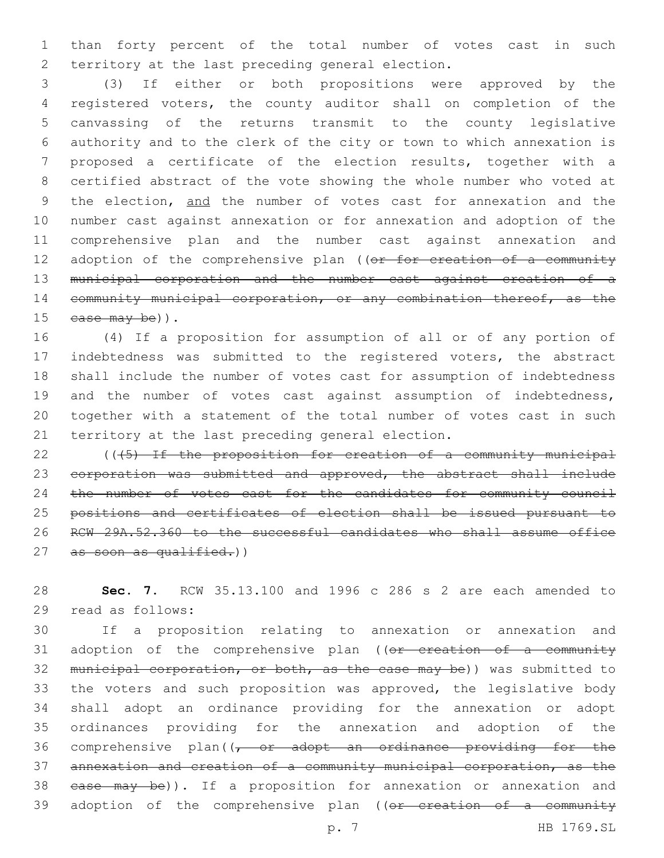1 than forty percent of the total number of votes cast in such 2 territory at the last preceding general election.

 (3) If either or both propositions were approved by the registered voters, the county auditor shall on completion of the canvassing of the returns transmit to the county legislative authority and to the clerk of the city or town to which annexation is proposed a certificate of the election results, together with a certified abstract of the vote showing the whole number who voted at 9 the election, and the number of votes cast for annexation and the number cast against annexation or for annexation and adoption of the comprehensive plan and the number cast against annexation and 12 adoption of the comprehensive plan ((or for creation of a community municipal corporation and the number cast against creation of a 14 community municipal corporation, or any combination thereof, as the  $case may be)$ ).

 (4) If a proposition for assumption of all or of any portion of indebtedness was submitted to the registered voters, the abstract shall include the number of votes cast for assumption of indebtedness 19 and the number of votes cast against assumption of indebtedness, together with a statement of the total number of votes cast in such 21 territory at the last preceding general election.

22  $(1.45)$  If the proposition for creation of a community municipal 23 corporation was submitted and approved, the abstract shall include 24 the number of votes cast for the candidates for community council 25 positions and certificates of election shall be issued pursuant to 26 RCW 29A.52.360 to the successful candidates who shall assume office 27 as soon as qualified.))

28 **Sec. 7.** RCW 35.13.100 and 1996 c 286 s 2 are each amended to 29 read as follows:

30 If a proposition relating to annexation or annexation and 31 adoption of the comprehensive plan ((or creation of a community 32 municipal corporation, or both, as the case may be)) was submitted to 33 the voters and such proposition was approved, the legislative body 34 shall adopt an ordinance providing for the annexation or adopt 35 ordinances providing for the annexation and adoption of the 36 comprehensive plan((, or adopt an ordinance providing for the 37 annexation and creation of a community municipal corporation, as the 38 ease may be)). If a proposition for annexation or annexation and 39 adoption of the comprehensive plan ((or creation of a community

p. 7 HB 1769.SL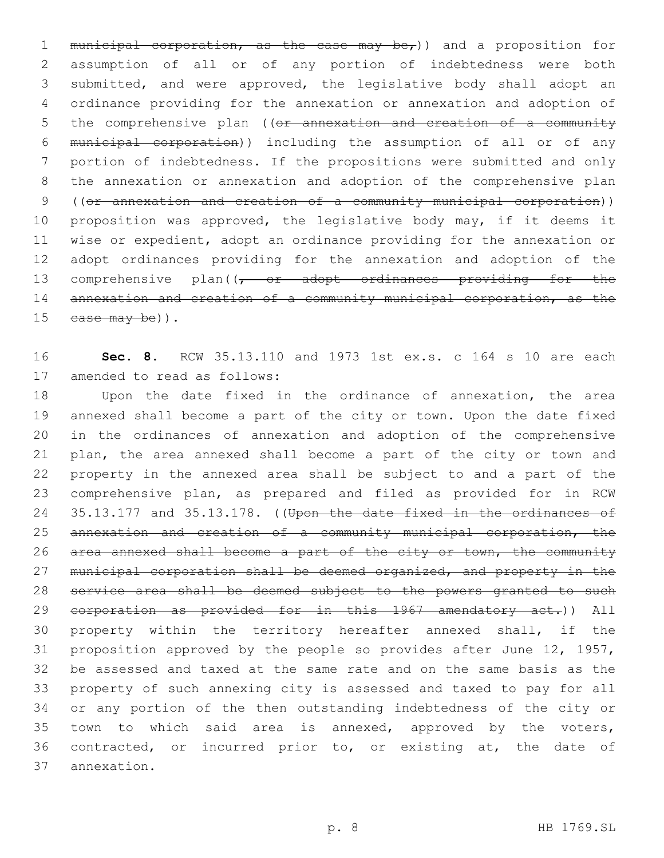1 municipal corporation, as the case may be,)) and a proposition for assumption of all or of any portion of indebtedness were both submitted, and were approved, the legislative body shall adopt an ordinance providing for the annexation or annexation and adoption of 5 the comprehensive plan ((or annexation and creation of a community municipal corporation)) including the assumption of all or of any portion of indebtedness. If the propositions were submitted and only the annexation or annexation and adoption of the comprehensive plan ((or annexation and creation of a community municipal corporation)) proposition was approved, the legislative body may, if it deems it wise or expedient, adopt an ordinance providing for the annexation or adopt ordinances providing for the annexation and adoption of the 13 comprehensive plan((<del>, or adopt ordinances providing for the</del> 14 annexation and creation of a community municipal corporation, as the  $case may be)$ ).

 **Sec. 8.** RCW 35.13.110 and 1973 1st ex.s. c 164 s 10 are each 17 amended to read as follows:

 Upon the date fixed in the ordinance of annexation, the area annexed shall become a part of the city or town. Upon the date fixed in the ordinances of annexation and adoption of the comprehensive plan, the area annexed shall become a part of the city or town and property in the annexed area shall be subject to and a part of the comprehensive plan, as prepared and filed as provided for in RCW 24 35.13.177 and 35.13.178. ((Upon the date fixed in the ordinances of annexation and creation of a community municipal corporation, the area annexed shall become a part of the city or town, the community 27 municipal corporation shall be deemed organized, and property in the service area shall be deemed subject to the powers granted to such 29 corporation as provided for in this 1967 amendatory act.)) All property within the territory hereafter annexed shall, if the proposition approved by the people so provides after June 12, 1957, be assessed and taxed at the same rate and on the same basis as the property of such annexing city is assessed and taxed to pay for all or any portion of the then outstanding indebtedness of the city or town to which said area is annexed, approved by the voters, contracted, or incurred prior to, or existing at, the date of annexation.37